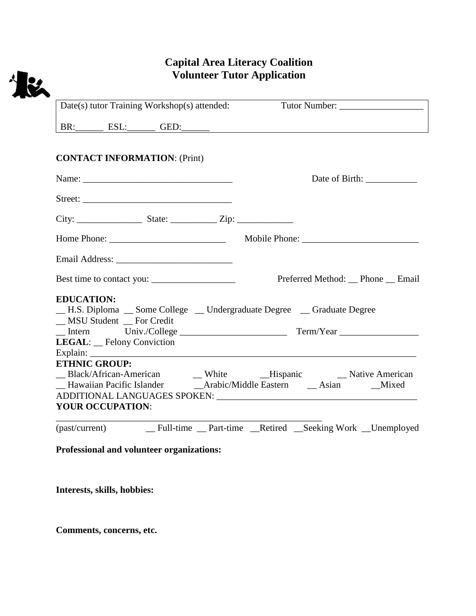## **Capital Area Literacy Coalition Volunteer Tutor Application**

| BR: ESL: GED: GED:                                                                                                       |                |
|--------------------------------------------------------------------------------------------------------------------------|----------------|
| <b>CONTACT INFORMATION: (Print)</b>                                                                                      |                |
|                                                                                                                          | Date of Birth: |
|                                                                                                                          |                |
|                                                                                                                          |                |
| Home Phone: Mobile Phone: Mobile Phone:                                                                                  |                |
|                                                                                                                          |                |
|                                                                                                                          |                |
| <b>EDUCATION:</b><br>- H.S. Diploma - Some College - Undergraduate Degree - Graduate Degree<br>_MSU Student _ For Credit |                |
|                                                                                                                          |                |
| <b>LEGAL:</b> Felony Conviction                                                                                          |                |
| <b>ETHNIC GROUP:</b>                                                                                                     |                |
|                                                                                                                          |                |
|                                                                                                                          |                |
| <b>YOUR OCCUPATION:</b>                                                                                                  |                |

**Professional and volunteer organizations:**

**Interests, skills, hobbies:**

**Comments, concerns, etc.**